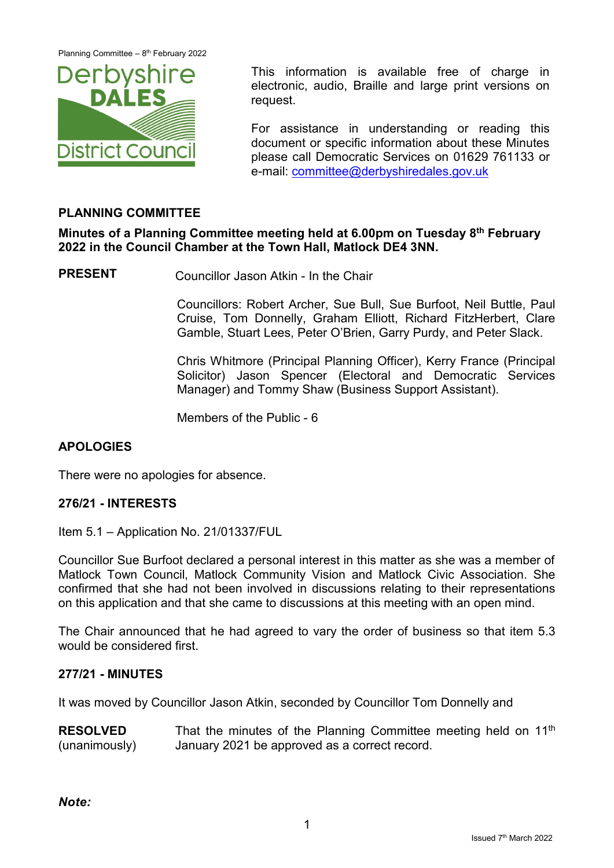

This information is available free of charge in electronic, audio, Braille and large print versions on request.

For assistance in understanding or reading this document or specific information about these Minutes please call Democratic Services on 01629 761133 or e-mail: [committee@derbyshiredales.gov.uk](mailto:committee@derbyshiredales.gov.uk)

## **PLANNING COMMITTEE**

**Minutes of a Planning Committee meeting held at 6.00pm on Tuesday 8 th February 2022 in the Council Chamber at the Town Hall, Matlock DE4 3NN.**

**PRESENT** Councillor Jason Atkin - In the Chair

Councillors: Robert Archer, Sue Bull, Sue Burfoot, Neil Buttle, Paul Cruise, Tom Donnelly, Graham Elliott, Richard FitzHerbert, Clare Gamble, Stuart Lees, Peter O'Brien, Garry Purdy, and Peter Slack.

Chris Whitmore (Principal Planning Officer), Kerry France (Principal Solicitor) Jason Spencer (Electoral and Democratic Services Manager) and Tommy Shaw (Business Support Assistant).

Members of the Public - 6

## **APOLOGIES**

There were no apologies for absence.

#### **276/21 - INTERESTS**

Item 5.1 – Application No. 21/01337/FUL

Councillor Sue Burfoot declared a personal interest in this matter as she was a member of Matlock Town Council, Matlock Community Vision and Matlock Civic Association. She confirmed that she had not been involved in discussions relating to their representations on this application and that she came to discussions at this meeting with an open mind.

The Chair announced that he had agreed to vary the order of business so that item 5.3 would be considered first.

#### **277/21 - MINUTES**

It was moved by Councillor Jason Atkin, seconded by Councillor Tom Donnelly and

**RESOLVED** (unanimously) That the minutes of the Planning Committee meeting held on 11<sup>th</sup> January 2021 be approved as a correct record.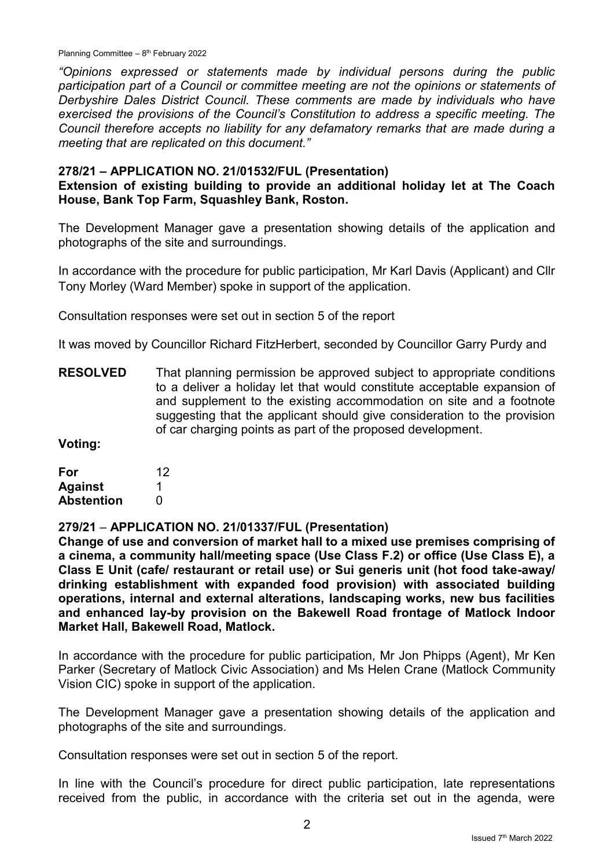Planning Committee  $-8<sup>th</sup>$  February 2022

*"Opinions expressed or statements made by individual persons during the public participation part of a Council or committee meeting are not the opinions or statements of Derbyshire Dales District Council. These comments are made by individuals who have exercised the provisions of the Council's Constitution to address a specific meeting. The Council therefore accepts no liability for any defamatory remarks that are made during a meeting that are replicated on this document."*

#### **278/21 – APPLICATION NO. 21/01532/FUL (Presentation) Extension of existing building to provide an additional holiday let at The Coach House, Bank Top Farm, Squashley Bank, Roston.**

The Development Manager gave a presentation showing details of the application and photographs of the site and surroundings.

In accordance with the procedure for public participation, Mr Karl Davis (Applicant) and Cllr Tony Morley (Ward Member) spoke in support of the application.

Consultation responses were set out in section 5 of the report

It was moved by Councillor Richard FitzHerbert, seconded by Councillor Garry Purdy and

**RESOLVED** That planning permission be approved subject to appropriate conditions to a deliver a holiday let that would constitute acceptable expansion of and supplement to the existing accommodation on site and a footnote suggesting that the applicant should give consideration to the provision of car charging points as part of the proposed development.

**Voting:**

| For               | 12 |
|-------------------|----|
| <b>Against</b>    |    |
| <b>Abstention</b> | O  |

**279/21** – **APPLICATION NO. 21/01337/FUL (Presentation)**

**Change of use and conversion of market hall to a mixed use premises comprising of a cinema, a community hall/meeting space (Use Class F.2) or office (Use Class E), a Class E Unit (cafe/ restaurant or retail use) or Sui generis unit (hot food take-away/ drinking establishment with expanded food provision) with associated building operations, internal and external alterations, landscaping works, new bus facilities and enhanced lay-by provision on the Bakewell Road frontage of Matlock Indoor Market Hall, Bakewell Road, Matlock.**

In accordance with the procedure for public participation, Mr Jon Phipps (Agent), Mr Ken Parker (Secretary of Matlock Civic Association) and Ms Helen Crane (Matlock Community Vision CIC) spoke in support of the application.

The Development Manager gave a presentation showing details of the application and photographs of the site and surroundings.

Consultation responses were set out in section 5 of the report.

In line with the Council's procedure for direct public participation, late representations received from the public, in accordance with the criteria set out in the agenda, were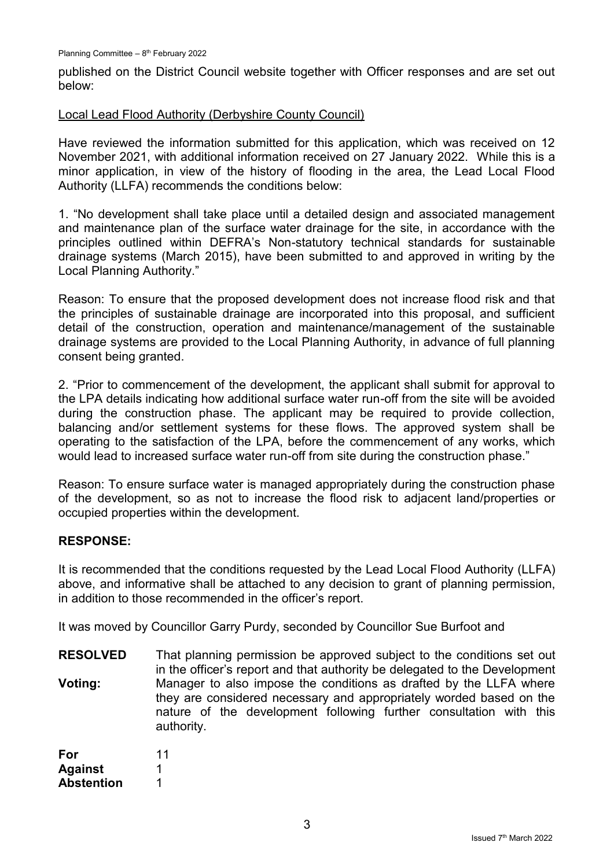published on the District Council website together with Officer responses and are set out below:

### Local Lead Flood Authority (Derbyshire County Council)

Have reviewed the information submitted for this application, which was received on 12 November 2021, with additional information received on 27 January 2022. While this is a minor application, in view of the history of flooding in the area, the Lead Local Flood Authority (LLFA) recommends the conditions below:

1. "No development shall take place until a detailed design and associated management and maintenance plan of the surface water drainage for the site, in accordance with the principles outlined within DEFRA's Non-statutory technical standards for sustainable drainage systems (March 2015), have been submitted to and approved in writing by the Local Planning Authority."

Reason: To ensure that the proposed development does not increase flood risk and that the principles of sustainable drainage are incorporated into this proposal, and sufficient detail of the construction, operation and maintenance/management of the sustainable drainage systems are provided to the Local Planning Authority, in advance of full planning consent being granted.

2. "Prior to commencement of the development, the applicant shall submit for approval to the LPA details indicating how additional surface water run-off from the site will be avoided during the construction phase. The applicant may be required to provide collection, balancing and/or settlement systems for these flows. The approved system shall be operating to the satisfaction of the LPA, before the commencement of any works, which would lead to increased surface water run-off from site during the construction phase."

Reason: To ensure surface water is managed appropriately during the construction phase of the development, so as not to increase the flood risk to adjacent land/properties or occupied properties within the development.

## **RESPONSE:**

It is recommended that the conditions requested by the Lead Local Flood Authority (LLFA) above, and informative shall be attached to any decision to grant of planning permission, in addition to those recommended in the officer's report.

It was moved by Councillor Garry Purdy, seconded by Councillor Sue Burfoot and

**RESOLVED Voting:** That planning permission be approved subject to the conditions set out in the officer's report and that authority be delegated to the Development Manager to also impose the conditions as drafted by the LLFA where they are considered necessary and appropriately worded based on the nature of the development following further consultation with this authority.

| For               | 11 |
|-------------------|----|
| <b>Against</b>    |    |
| <b>Abstention</b> | 1  |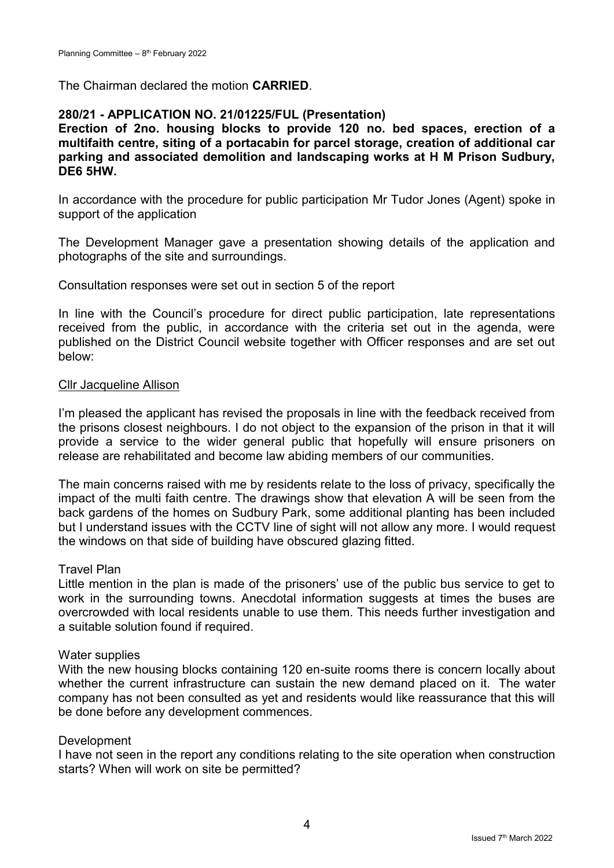The Chairman declared the motion **CARRIED**.

## **280/21 - APPLICATION NO. 21/01225/FUL (Presentation)**

**Erection of 2no. housing blocks to provide 120 no. bed spaces, erection of a multifaith centre, siting of a portacabin for parcel storage, creation of additional car parking and associated demolition and landscaping works at H M Prison Sudbury, DE6 5HW.**

In accordance with the procedure for public participation Mr Tudor Jones (Agent) spoke in support of the application

The Development Manager gave a presentation showing details of the application and photographs of the site and surroundings.

Consultation responses were set out in section 5 of the report

In line with the Council's procedure for direct public participation, late representations received from the public, in accordance with the criteria set out in the agenda, were published on the District Council website together with Officer responses and are set out below:

### Cllr Jacqueline Allison

I'm pleased the applicant has revised the proposals in line with the feedback received from the prisons closest neighbours. I do not object to the expansion of the prison in that it will provide a service to the wider general public that hopefully will ensure prisoners on release are rehabilitated and become law abiding members of our communities.

The main concerns raised with me by residents relate to the loss of privacy, specifically the impact of the multi faith centre. The drawings show that elevation A will be seen from the back gardens of the homes on Sudbury Park, some additional planting has been included but I understand issues with the CCTV line of sight will not allow any more. I would request the windows on that side of building have obscured glazing fitted.

#### Travel Plan

Little mention in the plan is made of the prisoners' use of the public bus service to get to work in the surrounding towns. Anecdotal information suggests at times the buses are overcrowded with local residents unable to use them. This needs further investigation and a suitable solution found if required.

#### Water supplies

With the new housing blocks containing 120 en-suite rooms there is concern locally about whether the current infrastructure can sustain the new demand placed on it. The water company has not been consulted as yet and residents would like reassurance that this will be done before any development commences.

## Development

I have not seen in the report any conditions relating to the site operation when construction starts? When will work on site be permitted?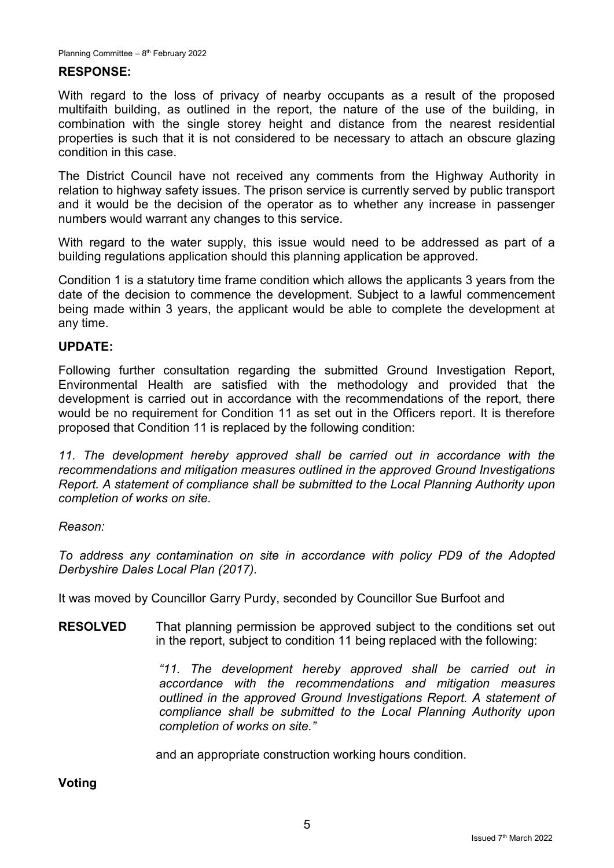## **RESPONSE:**

With regard to the loss of privacy of nearby occupants as a result of the proposed multifaith building, as outlined in the report, the nature of the use of the building, in combination with the single storey height and distance from the nearest residential properties is such that it is not considered to be necessary to attach an obscure glazing condition in this case.

The District Council have not received any comments from the Highway Authority in relation to highway safety issues. The prison service is currently served by public transport and it would be the decision of the operator as to whether any increase in passenger numbers would warrant any changes to this service.

With regard to the water supply, this issue would need to be addressed as part of a building regulations application should this planning application be approved.

Condition 1 is a statutory time frame condition which allows the applicants 3 years from the date of the decision to commence the development. Subject to a lawful commencement being made within 3 years, the applicant would be able to complete the development at any time.

## **UPDATE:**

Following further consultation regarding the submitted Ground Investigation Report, Environmental Health are satisfied with the methodology and provided that the development is carried out in accordance with the recommendations of the report, there would be no requirement for Condition 11 as set out in the Officers report. It is therefore proposed that Condition 11 is replaced by the following condition:

11. The development hereby approved shall be carried out in accordance with the *recommendations and mitigation measures outlined in the approved Ground Investigations Report. A statement of compliance shall be submitted to the Local Planning Authority upon completion of works on site.*

#### *Reason:*

*To address any contamination on site in accordance with policy PD9 of the Adopted Derbyshire Dales Local Plan (2017).*

It was moved by Councillor Garry Purdy, seconded by Councillor Sue Burfoot and

**RESOLVED** That planning permission be approved subject to the conditions set out in the report, subject to condition 11 being replaced with the following:

> *"11. The development hereby approved shall be carried out in accordance with the recommendations and mitigation measures outlined in the approved Ground Investigations Report. A statement of compliance shall be submitted to the Local Planning Authority upon completion of works on site."*

and an appropriate construction working hours condition.

**Voting**